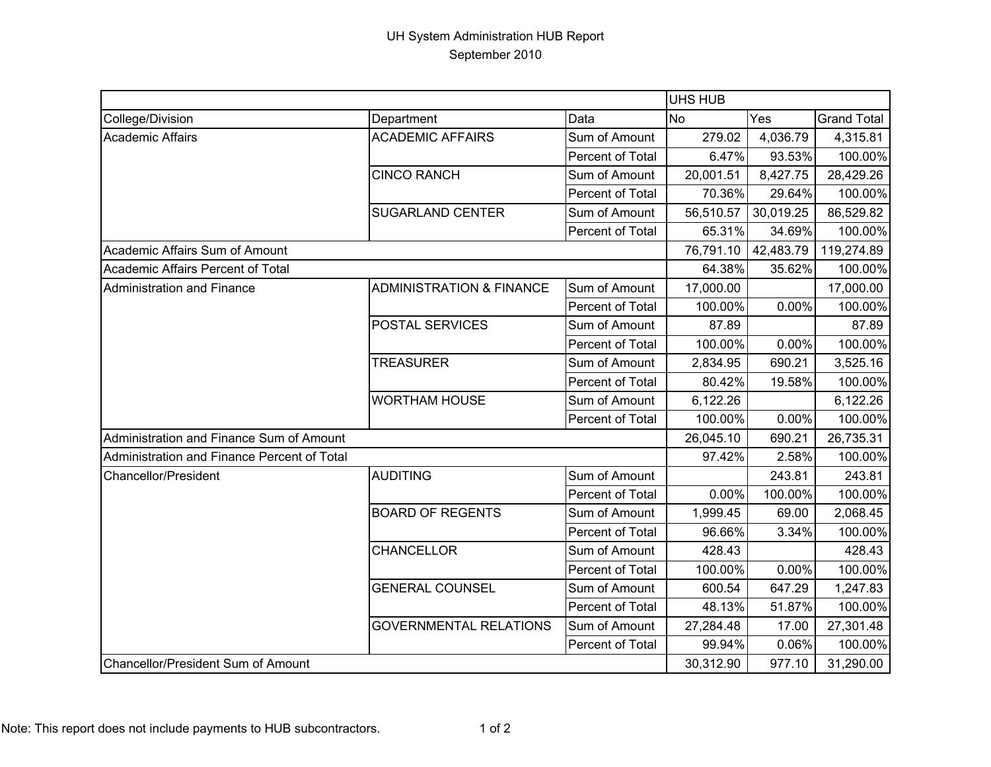## UH System Administration HUB Report September 2010

|                                             |                                     |                  | <b>UHS HUB</b> |           |                    |
|---------------------------------------------|-------------------------------------|------------------|----------------|-----------|--------------------|
| College/Division                            | Department                          | Data             | <b>No</b>      | Yes       | <b>Grand Total</b> |
| Academic Affairs                            | <b>ACADEMIC AFFAIRS</b>             | Sum of Amount    | 279.02         | 4,036.79  | 4,315.81           |
|                                             |                                     | Percent of Total | 6.47%          | 93.53%    | 100.00%            |
|                                             | <b>CINCO RANCH</b>                  | Sum of Amount    | 20,001.51      | 8,427.75  | 28,429.26          |
|                                             |                                     | Percent of Total | 70.36%         | 29.64%    | 100.00%            |
|                                             | <b>SUGARLAND CENTER</b>             | Sum of Amount    | 56,510.57      | 30,019.25 | 86,529.82          |
|                                             |                                     | Percent of Total | 65.31%         | 34.69%    | 100.00%            |
| Academic Affairs Sum of Amount              |                                     |                  | 76,791.10      | 42,483.79 | 119,274.89         |
| Academic Affairs Percent of Total           |                                     |                  | 64.38%         | 35.62%    | 100.00%            |
| Administration and Finance                  | <b>ADMINISTRATION &amp; FINANCE</b> | Sum of Amount    | 17,000.00      |           | 17,000.00          |
|                                             |                                     | Percent of Total | 100.00%        | 0.00%     | 100.00%            |
|                                             | POSTAL SERVICES                     | Sum of Amount    | 87.89          |           | 87.89              |
|                                             |                                     | Percent of Total | 100.00%        | 0.00%     | 100.00%            |
|                                             | <b>TREASURER</b>                    | Sum of Amount    | 2,834.95       | 690.21    | 3,525.16           |
|                                             |                                     | Percent of Total | 80.42%         | 19.58%    | 100.00%            |
|                                             | <b>WORTHAM HOUSE</b>                | Sum of Amount    | 6,122.26       |           | 6,122.26           |
|                                             |                                     | Percent of Total | 100.00%        | 0.00%     | 100.00%            |
| Administration and Finance Sum of Amount    |                                     |                  |                | 690.21    | 26,735.31          |
| Administration and Finance Percent of Total |                                     |                  | 97.42%         | 2.58%     | 100.00%            |
| Chancellor/President                        | <b>AUDITING</b>                     | Sum of Amount    |                | 243.81    | 243.81             |
|                                             |                                     | Percent of Total | 0.00%          | 100.00%   | 100.00%            |
|                                             | <b>BOARD OF REGENTS</b>             | Sum of Amount    | 1,999.45       | 69.00     | 2,068.45           |
|                                             |                                     | Percent of Total | 96.66%         | 3.34%     | 100.00%            |
|                                             | CHANCELLOR                          | Sum of Amount    | 428.43         |           | 428.43             |
|                                             |                                     | Percent of Total | 100.00%        | 0.00%     | 100.00%            |
|                                             | <b>GENERAL COUNSEL</b>              | Sum of Amount    | 600.54         | 647.29    | 1,247.83           |
|                                             |                                     | Percent of Total | 48.13%         | 51.87%    | 100.00%            |
|                                             | <b>GOVERNMENTAL RELATIONS</b>       | Sum of Amount    | 27,284.48      | 17.00     | 27,301.48          |
|                                             |                                     | Percent of Total | 99.94%         | 0.06%     | 100.00%            |
| Chancellor/President Sum of Amount          |                                     |                  | 30,312.90      | 977.10    | 31,290.00          |